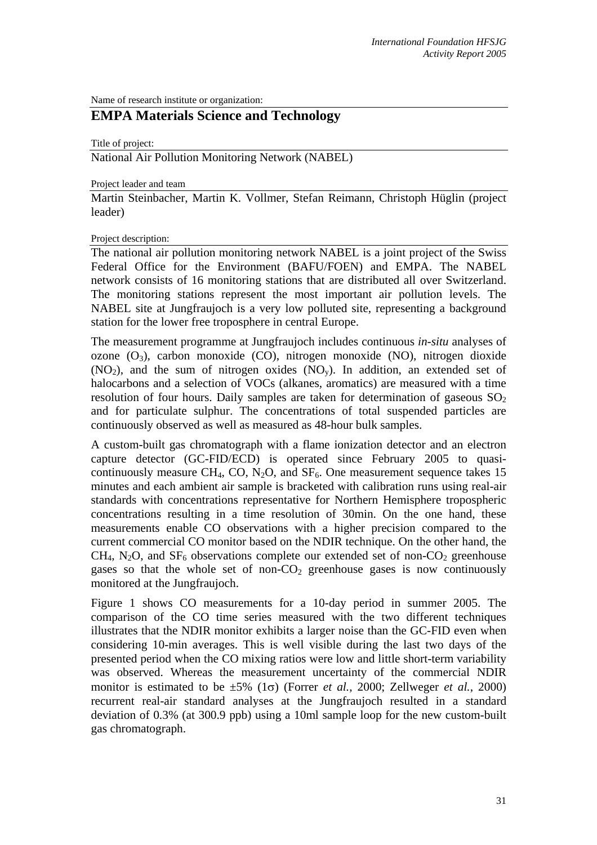Name of research institute or organization:

## **EMPA Materials Science and Technology**

Title of project:

National Air Pollution Monitoring Network (NABEL)

Project leader and team

Martin Steinbacher, Martin K. Vollmer, Stefan Reimann, Christoph Hüglin (project leader)

Project description:

The national air pollution monitoring network NABEL is a joint project of the Swiss Federal Office for the Environment (BAFU/FOEN) and EMPA. The NABEL network consists of 16 monitoring stations that are distributed all over Switzerland. The monitoring stations represent the most important air pollution levels. The NABEL site at Jungfraujoch is a very low polluted site, representing a background station for the lower free troposphere in central Europe.

The measurement programme at Jungfraujoch includes continuous *in-situ* analyses of ozone  $(O_3)$ , carbon monoxide  $(CO)$ , nitrogen monoxide  $(NO)$ , nitrogen dioxide  $(NO<sub>2</sub>)$ , and the sum of nitrogen oxides  $(NO<sub>v</sub>)$ . In addition, an extended set of halocarbons and a selection of VOCs (alkanes, aromatics) are measured with a time resolution of four hours. Daily samples are taken for determination of gaseous  $SO<sub>2</sub>$ and for particulate sulphur. The concentrations of total suspended particles are continuously observed as well as measured as 48-hour bulk samples.

A custom-built gas chromatograph with a flame ionization detector and an electron capture detector (GC-FID/ECD) is operated since February 2005 to quasicontinuously measure CH<sub>4</sub>, CO, N<sub>2</sub>O, and SF<sub>6</sub>. One measurement sequence takes 15 minutes and each ambient air sample is bracketed with calibration runs using real-air standards with concentrations representative for Northern Hemisphere tropospheric concentrations resulting in a time resolution of 30min. On the one hand, these measurements enable CO observations with a higher precision compared to the current commercial CO monitor based on the NDIR technique. On the other hand, the  $CH_4$ , N<sub>2</sub>O, and  $SF_6$  observations complete our extended set of non-CO<sub>2</sub> greenhouse gases so that the whole set of non- $CO<sub>2</sub>$  greenhouse gases is now continuously monitored at the Jungfraujoch.

Figure 1 shows CO measurements for a 10-day period in summer 2005. The comparison of the CO time series measured with the two different techniques illustrates that the NDIR monitor exhibits a larger noise than the GC-FID even when considering 10-min averages. This is well visible during the last two days of the presented period when the CO mixing ratios were low and little short-term variability was observed. Whereas the measurement uncertainty of the commercial NDIR monitor is estimated to be ±5% (1σ) (Forrer *et al.*, 2000; Zellweger *et al.*, 2000) recurrent real-air standard analyses at the Jungfraujoch resulted in a standard deviation of 0.3% (at 300.9 ppb) using a 10ml sample loop for the new custom-built gas chromatograph.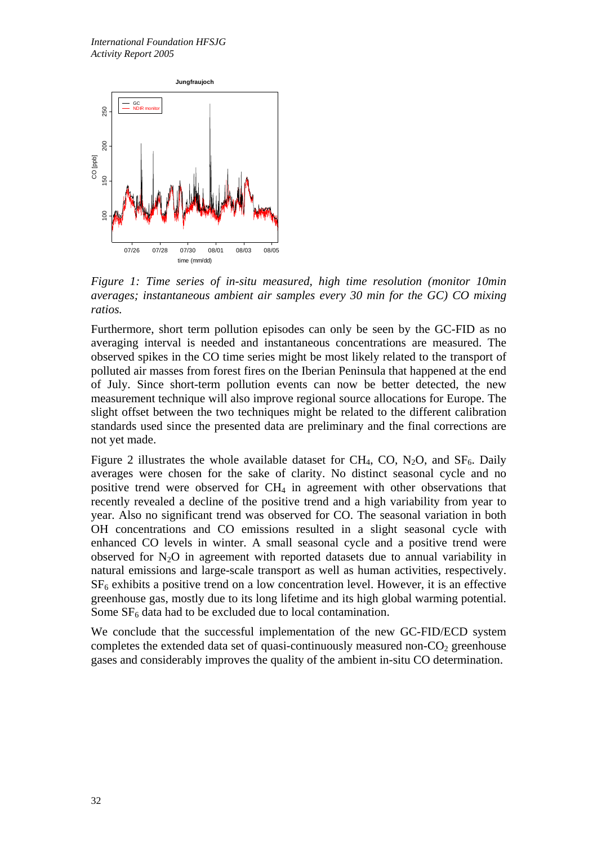

*Figure 1: Time series of in-situ measured, high time resolution (monitor 10min averages; instantaneous ambient air samples every 30 min for the GC) CO mixing ratios.* 

Furthermore, short term pollution episodes can only be seen by the GC-FID as no averaging interval is needed and instantaneous concentrations are measured. The observed spikes in the CO time series might be most likely related to the transport of polluted air masses from forest fires on the Iberian Peninsula that happened at the end of July. Since short-term pollution events can now be better detected, the new measurement technique will also improve regional source allocations for Europe. The slight offset between the two techniques might be related to the different calibration standards used since the presented data are preliminary and the final corrections are not yet made.

Figure 2 illustrates the whole available dataset for CH<sub>4</sub>, CO, N<sub>2</sub>O, and SF<sub>6</sub>. Daily averages were chosen for the sake of clarity. No distinct seasonal cycle and no positive trend were observed for CH4 in agreement with other observations that recently revealed a decline of the positive trend and a high variability from year to year. Also no significant trend was observed for CO. The seasonal variation in both OH concentrations and CO emissions resulted in a slight seasonal cycle with enhanced CO levels in winter. A small seasonal cycle and a positive trend were observed for  $N_2O$  in agreement with reported datasets due to annual variability in natural emissions and large-scale transport as well as human activities, respectively.  $SF<sub>6</sub>$  exhibits a positive trend on a low concentration level. However, it is an effective greenhouse gas, mostly due to its long lifetime and its high global warming potential. Some  $SF<sub>6</sub>$  data had to be excluded due to local contamination.

We conclude that the successful implementation of the new GC-FID/ECD system completes the extended data set of quasi-continuously measured non- $CO<sub>2</sub>$  greenhouse gases and considerably improves the quality of the ambient in-situ CO determination.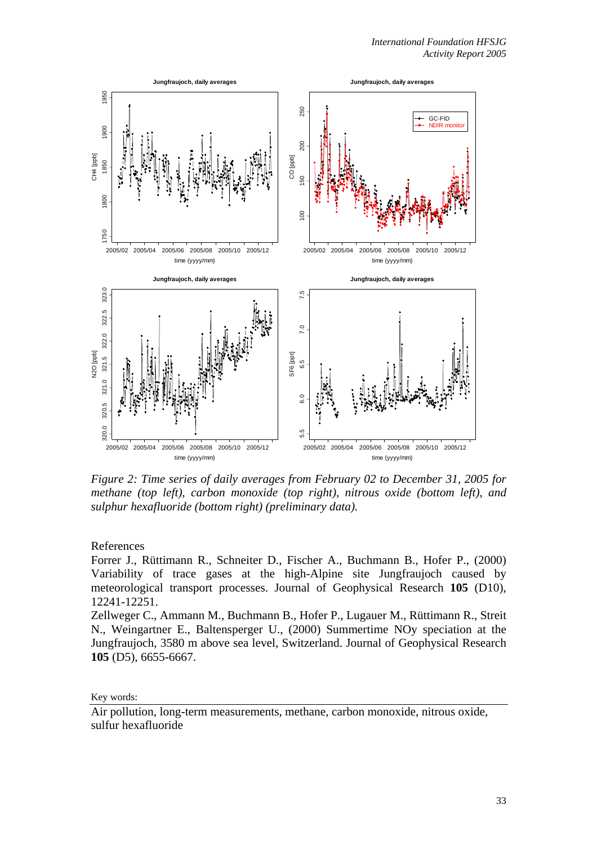

*Figure 2: Time series of daily averages from February 02 to December 31, 2005 for methane (top left), carbon monoxide (top right), nitrous oxide (bottom left), and sulphur hexafluoride (bottom right) (preliminary data).* 

References

Forrer J., Rüttimann R., Schneiter D., Fischer A., Buchmann B., Hofer P., (2000) Variability of trace gases at the high-Alpine site Jungfraujoch caused by meteorological transport processes. Journal of Geophysical Research **105** (D10), 12241-12251.

Zellweger C., Ammann M., Buchmann B., Hofer P., Lugauer M., Rüttimann R., Streit N., Weingartner E., Baltensperger U., (2000) Summertime NOy speciation at the Jungfraujoch, 3580 m above sea level, Switzerland. Journal of Geophysical Research **105** (D5), 6655-6667.

Key words:

Air pollution, long-term measurements, methane, carbon monoxide, nitrous oxide, sulfur hexafluoride